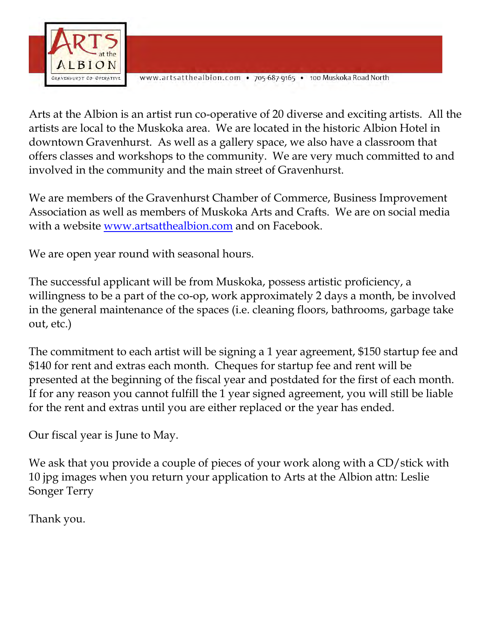

www.artsatthealbion.com • 705-687-9165 • 100 Muskoka Road North

Arts at the Albion is an artist run co-operative of 20 diverse and exciting artists. All the artists are local to the Muskoka area. We are located in the historic Albion Hotel in downtown Gravenhurst. As well as a gallery space, we also have a classroom that offers classes and workshops to the community. We are very much committed to and involved in the community and the main street of Gravenhurst.

We are members of the Gravenhurst Chamber of Commerce, Business Improvement Association as well as members of Muskoka Arts and Crafts. We are on social media with a website [www.artsatthealbion.com](http://www.artsatthealbion.com/) and on Facebook.

We are open year round with seasonal hours.

The successful applicant will be from Muskoka, possess artistic proficiency, a willingness to be a part of the co-op, work approximately 2 days a month, be involved in the general maintenance of the spaces (i.e. cleaning floors, bathrooms, garbage take out, etc.)

The commitment to each artist will be signing a 1 year agreement, \$150 startup fee and \$140 for rent and extras each month. Cheques for startup fee and rent will be presented at the beginning of the fiscal year and postdated for the first of each month. If for any reason you cannot fulfill the 1 year signed agreement, you will still be liable for the rent and extras until you are either replaced or the year has ended.

Our fiscal year is June to May.

We ask that you provide a couple of pieces of your work along with a CD/stick with 10 jpg images when you return your application to Arts at the Albion attn: Leslie Songer Terry

Thank you.